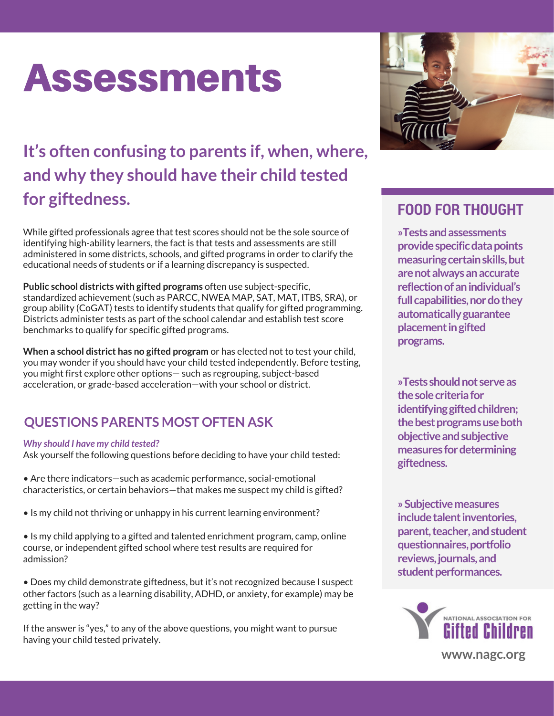# Assessments

## **It's often confusing to parents if, when, where, and why they should have their child tested for giftedness.**

While gifted professionals agree that test scores should not be the sole source of identifying high-ability learners, the fact is that tests and assessments are still administered in some districts, schools, and gifted programs in order to clarify the educational needs of students or if a learning discrepancy is suspected.

**Public school districts with gifted programs** often use subject-specific, standardized achievement (such as PARCC, NWEA MAP, SAT, MAT, ITBS, SRA), or group ability (CoGAT) tests to identify students that qualify for gifted programming. Districts administer tests as part of the school calendar and establish test score benchmarks to qualify for specific gifted programs.

**When a school district has no gifted program** or has elected not to test your child, you may wonder if you should have your child tested independently. Before testing, you might first explore other options— such as regrouping, subject-based acceleration, or grade-based acceleration—with your school or district.

### **QUESTIONS PARENTS MOST OFTEN ASK**

#### *Why should I have my child tested?*

Ask yourself the following questions before deciding to have your child tested:

• Are there indicators—such as academic performance, social-emotional characteristics, or certain behaviors—that makes me suspect my child is gifted?

• Is my child not thriving or unhappy in his current learning environment?

• Is my child applying to a gifted and talented enrichment program, camp, online course, or independent gifted school where test results are required for admission?

• Does my child demonstrate giftedness, but it's not recognized because I suspect other factors (such as a learning disability, ADHD, or anxiety, for example) may be getting in the way?

If the answer is "yes," to any of the above questions, you might want to pursue having your child tested privately.



### **FOOD FOR THOUGHT**

**»Tests and assessments provide specific data points measuring certain skills, but are not always an accurate reflection of an individual's full capabilities, nor do they automatically guarantee placement in gifted programs.**

**»Tests should not serve as the sole criteria for identifying gifted children; the best programs use both objective and subjective measures for determining giftedness.**

**» Subjective measures include talent inventories, parent, teacher, and student questionnaires, portfolio reviews, journals, and student performances.**